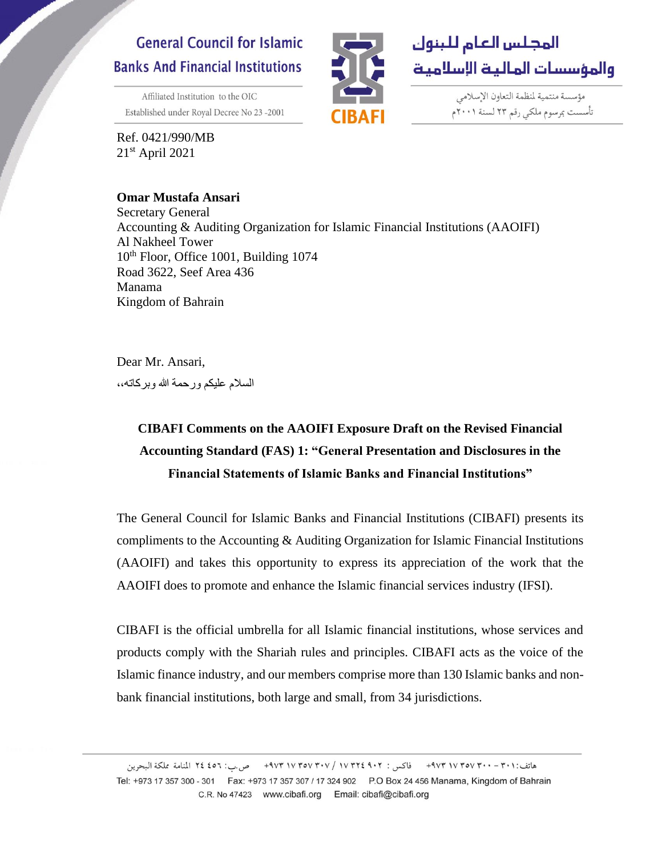# **General Council for Islamic Banks And Financial Institutions**

Affiliated Institution to the OIC Established under Royal Decree No 23-2001

Ref. 0421/990/MB  $21<sup>st</sup>$  April 2021

## **Omar Mustafa Ansari**



مؤسسة منتمية لمنظمة التعاون الإسلامي تأسست بمرسوم ملكى رقم ٢٣ لسنة ٢٠٠١م

Secretary General Accounting & Auditing Organization for Islamic Financial Institutions (AAOIFI) Al Nakheel Tower 10<sup>th</sup> Floor, Office 1001, Building 1074 Road 3622, Seef Area 436 Manama Kingdom of Bahrain

Dear Mr. Ansari,

السالم عليكم ورحمة هللا وبركاته**،،**

# **CIBAFI Comments on the AAOIFI Exposure Draft on the Revised Financial Accounting Standard (FAS) 1: "General Presentation and Disclosures in the Financial Statements of Islamic Banks and Financial Institutions"**

The General Council for Islamic Banks and Financial Institutions (CIBAFI) presents its compliments to the Accounting & Auditing Organization for Islamic Financial Institutions (AAOIFI) and takes this opportunity to express its appreciation of the work that the AAOIFI does to promote and enhance the Islamic financial services industry (IFSI).

CIBAFI is the official umbrella for all Islamic financial institutions, whose services and products comply with the Shariah rules and principles. CIBAFI acts as the voice of the Islamic finance industry, and our members comprise more than 130 Islamic banks and nonbank financial institutions, both large and small, from 34 jurisdictions.

هاتف:٢٠١ - ٢٠٠ ٧٣٧٧ ٩٧٣ - فاكس : ٩٠٢ ٢٥٧ / ٧٠٧ ٩٧٧ ٩٧٣ + ص ب: ٤٥٦ لذامة مملكة البحرين Tel: +973 17 357 300 - 301 Fax: +973 17 357 307 / 17 324 902 P.O Box 24 456 Manama, Kingdom of Bahrain C.R. No 47423 www.cibafi.org Email: cibafi@cibafi.org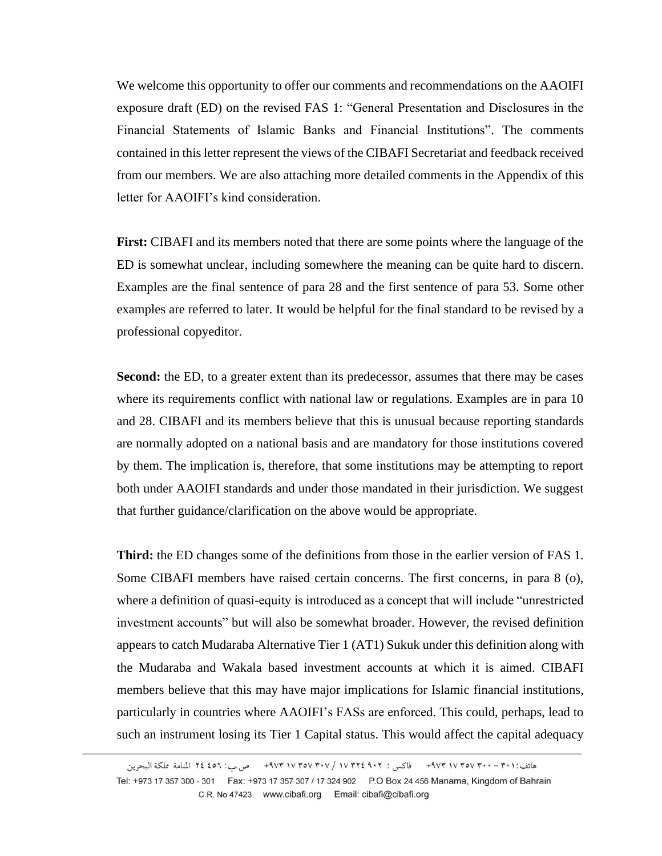We welcome this opportunity to offer our comments and recommendations on the AAOIFI exposure draft (ED) on the revised FAS 1: "General Presentation and Disclosures in the Financial Statements of Islamic Banks and Financial Institutions". The comments contained in this letter represent the views of the CIBAFI Secretariat and feedback received from our members. We are also attaching more detailed comments in the Appendix of this letter for AAOIFI's kind consideration.

**First:** CIBAFI and its members noted that there are some points where the language of the ED is somewhat unclear, including somewhere the meaning can be quite hard to discern. Examples are the final sentence of para 28 and the first sentence of para 53. Some other examples are referred to later. It would be helpful for the final standard to be revised by a professional copyeditor.

Second: the ED, to a greater extent than its predecessor, assumes that there may be cases where its requirements conflict with national law or regulations. Examples are in para 10 and 28. CIBAFI and its members believe that this is unusual because reporting standards are normally adopted on a national basis and are mandatory for those institutions covered by them. The implication is, therefore, that some institutions may be attempting to report both under AAOIFI standards and under those mandated in their jurisdiction. We suggest that further guidance/clarification on the above would be appropriate.

**Third:** the ED changes some of the definitions from those in the earlier version of FAS 1. Some CIBAFI members have raised certain concerns. The first concerns, in para 8 (o), where a definition of quasi-equity is introduced as a concept that will include "unrestricted investment accounts" but will also be somewhat broader. However, the revised definition appears to catch Mudaraba Alternative Tier 1 (AT1) Sukuk under this definition along with the Mudaraba and Wakala based investment accounts at which it is aimed. CIBAFI members believe that this may have major implications for Islamic financial institutions, particularly in countries where AAOIFI's FASs are enforced. This could, perhaps, lead to such an instrument losing its Tier 1 Capital status. This would affect the capital adequacy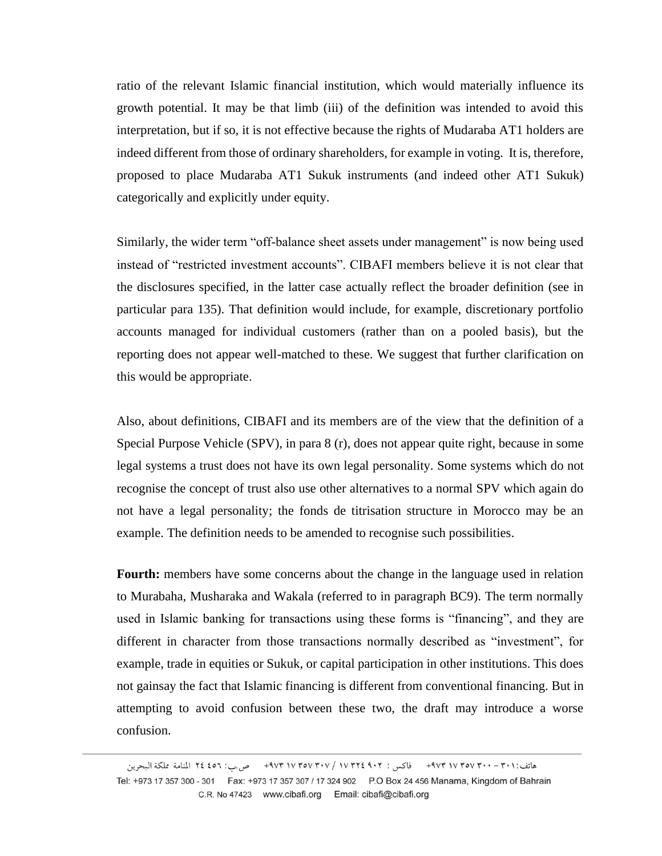ratio of the relevant Islamic financial institution, which would materially influence its growth potential. It may be that limb (iii) of the definition was intended to avoid this interpretation, but if so, it is not effective because the rights of Mudaraba AT1 holders are indeed different from those of ordinary shareholders, for example in voting. It is, therefore, proposed to place Mudaraba AT1 Sukuk instruments (and indeed other AT1 Sukuk) categorically and explicitly under equity.

Similarly, the wider term "off-balance sheet assets under management" is now being used instead of "restricted investment accounts". CIBAFI members believe it is not clear that the disclosures specified, in the latter case actually reflect the broader definition (see in particular para 135). That definition would include, for example, discretionary portfolio accounts managed for individual customers (rather than on a pooled basis), but the reporting does not appear well-matched to these. We suggest that further clarification on this would be appropriate.

Also, about definitions, CIBAFI and its members are of the view that the definition of a Special Purpose Vehicle (SPV), in para 8 (r), does not appear quite right, because in some legal systems a trust does not have its own legal personality. Some systems which do not recognise the concept of trust also use other alternatives to a normal SPV which again do not have a legal personality; the fonds de titrisation structure in Morocco may be an example. The definition needs to be amended to recognise such possibilities.

Fourth: members have some concerns about the change in the language used in relation to Murabaha, Musharaka and Wakala (referred to in paragraph BC9). The term normally used in Islamic banking for transactions using these forms is "financing", and they are different in character from those transactions normally described as "investment", for example, trade in equities or Sukuk, or capital participation in other institutions. This does not gainsay the fact that Islamic financing is different from conventional financing. But in attempting to avoid confusion between these two, the draft may introduce a worse confusion.

هاتف:٣٠١- ٣٠١٠ ٣٧٣ ٣٧٣ تاكس : ٩٠٢ ٧٣٢٧ / ٩٧٣ / ٩٧٣ ٩٧٣ + ص.ب: ٤٥٦ لمنامة مملكة البحرين Tel: +973 17 357 300 - 301 Fax: +973 17 357 307 / 17 324 902 P.O Box 24 456 Manama, Kingdom of Bahrain C.R. No 47423 www.cibafi.org Email: cibafi@cibafi.org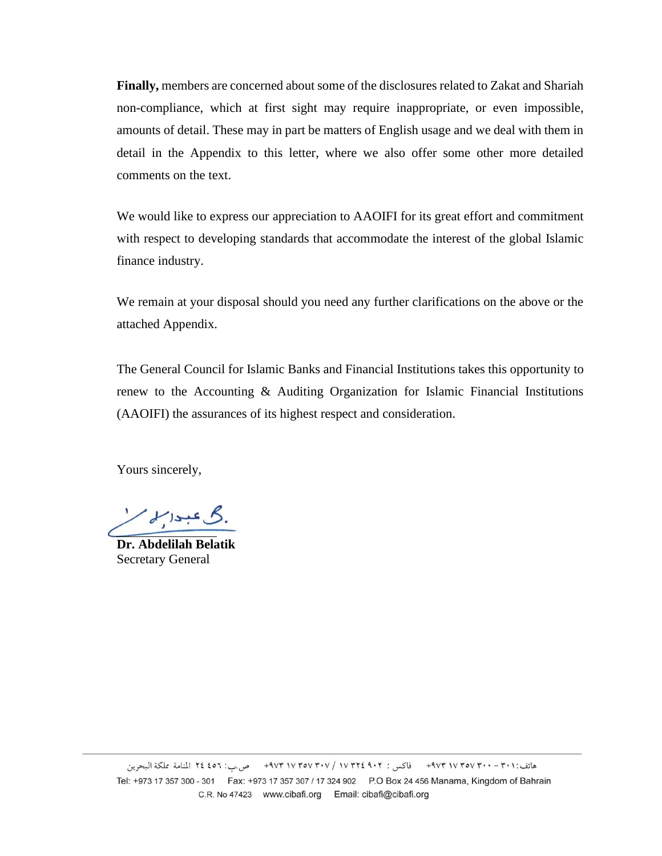**Finally,** members are concerned about some of the disclosures related to Zakat and Shariah non-compliance, which at first sight may require inappropriate, or even impossible, amounts of detail. These may in part be matters of English usage and we deal with them in detail in the Appendix to this letter, where we also offer some other more detailed comments on the text.

We would like to express our appreciation to AAOIFI for its great effort and commitment with respect to developing standards that accommodate the interest of the global Islamic finance industry.

We remain at your disposal should you need any further clarifications on the above or the attached Appendix.

The General Council for Islamic Banks and Financial Institutions takes this opportunity to renew to the Accounting & Auditing Organization for Islamic Financial Institutions (AAOIFI) the assurances of its highest respect and consideration.

Yours sincerely,

گ عبدالم

**Dr. Abdelilah Belatik** Secretary General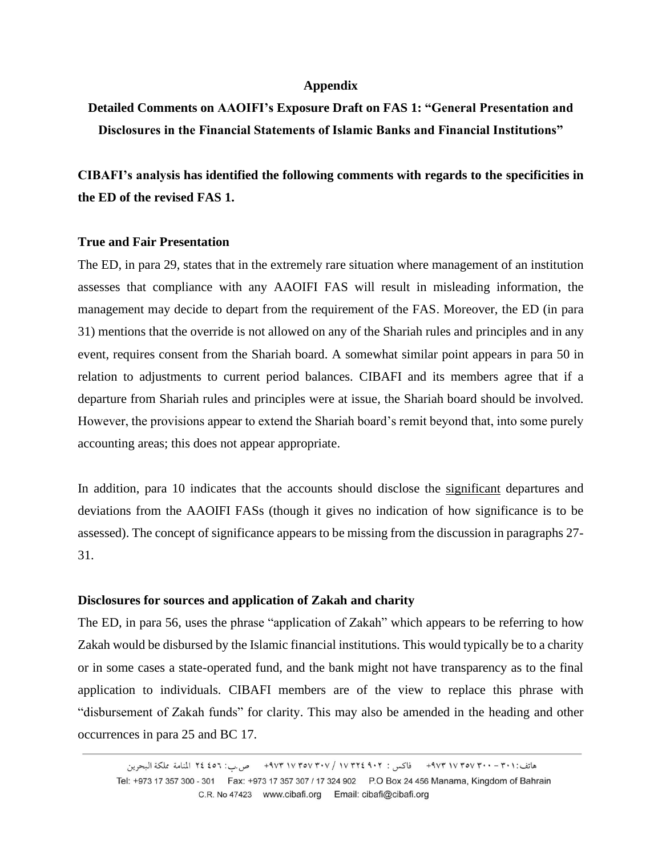#### **Appendix**

**Detailed Comments on AAOIFI's Exposure Draft on FAS 1: "General Presentation and Disclosures in the Financial Statements of Islamic Banks and Financial Institutions"**

**CIBAFI's analysis has identified the following comments with regards to the specificities in the ED of the revised FAS 1.**

#### **True and Fair Presentation**

The ED, in para 29, states that in the extremely rare situation where management of an institution assesses that compliance with any AAOIFI FAS will result in misleading information, the management may decide to depart from the requirement of the FAS. Moreover, the ED (in para 31) mentions that the override is not allowed on any of the Shariah rules and principles and in any event, requires consent from the Shariah board. A somewhat similar point appears in para 50 in relation to adjustments to current period balances. CIBAFI and its members agree that if a departure from Shariah rules and principles were at issue, the Shariah board should be involved. However, the provisions appear to extend the Shariah board's remit beyond that, into some purely accounting areas; this does not appear appropriate.

In addition, para 10 indicates that the accounts should disclose the significant departures and deviations from the AAOIFI FASs (though it gives no indication of how significance is to be assessed). The concept of significance appears to be missing from the discussion in paragraphs 27- 31.

## **Disclosures for sources and application of Zakah and charity**

The ED, in para 56, uses the phrase "application of Zakah" which appears to be referring to how Zakah would be disbursed by the Islamic financial institutions. This would typically be to a charity or in some cases a state-operated fund, and the bank might not have transparency as to the final application to individuals. CIBAFI members are of the view to replace this phrase with "disbursement of Zakah funds" for clarity. This may also be amended in the heading and other occurrences in para 25 and BC 17.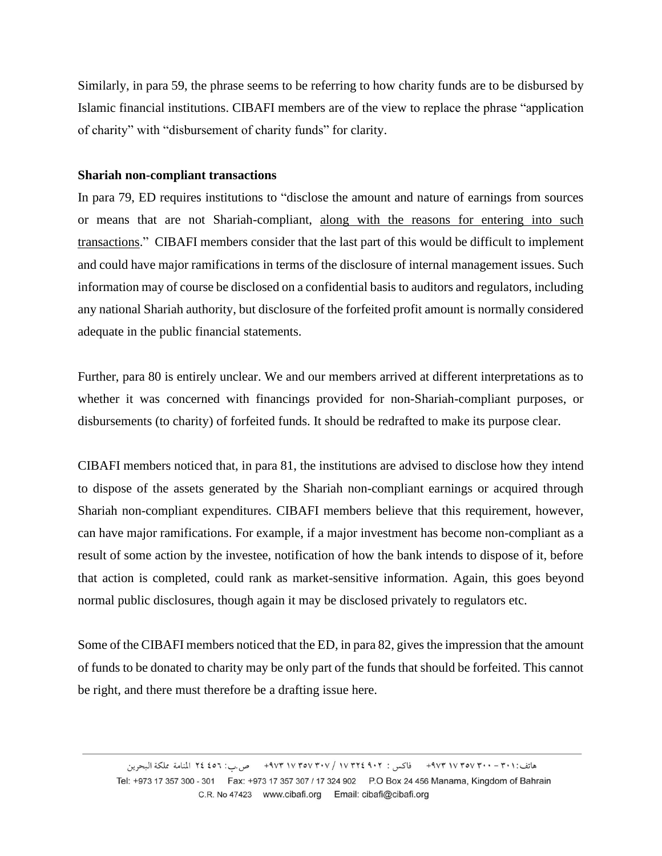Similarly, in para 59, the phrase seems to be referring to how charity funds are to be disbursed by Islamic financial institutions. CIBAFI members are of the view to replace the phrase "application of charity" with "disbursement of charity funds" for clarity.

### **Shariah non-compliant transactions**

In para 79, ED requires institutions to "disclose the amount and nature of earnings from sources or means that are not Shariah-compliant, along with the reasons for entering into such transactions." CIBAFI members consider that the last part of this would be difficult to implement and could have major ramifications in terms of the disclosure of internal management issues. Such information may of course be disclosed on a confidential basis to auditors and regulators, including any national Shariah authority, but disclosure of the forfeited profit amount is normally considered adequate in the public financial statements.

Further, para 80 is entirely unclear. We and our members arrived at different interpretations as to whether it was concerned with financings provided for non-Shariah-compliant purposes, or disbursements (to charity) of forfeited funds. It should be redrafted to make its purpose clear.

CIBAFI members noticed that, in para 81, the institutions are advised to disclose how they intend to dispose of the assets generated by the Shariah non-compliant earnings or acquired through Shariah non-compliant expenditures. CIBAFI members believe that this requirement, however, can have major ramifications. For example, if a major investment has become non-compliant as a result of some action by the investee, notification of how the bank intends to dispose of it, before that action is completed, could rank as market-sensitive information. Again, this goes beyond normal public disclosures, though again it may be disclosed privately to regulators etc.

Some of the CIBAFI members noticed that the ED, in para 82, gives the impression that the amount of funds to be donated to charity may be only part of the funds that should be forfeited. This cannot be right, and there must therefore be a drafting issue here.